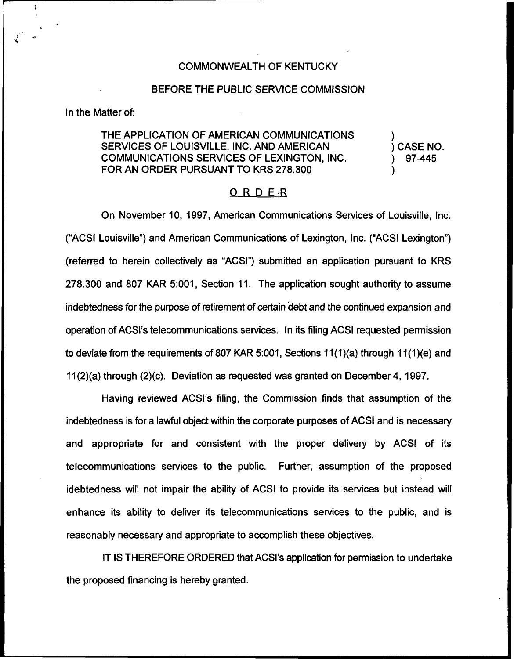## COMMONWEALTH OF KENTUCKY

#### BEFORE THE PUBLIC SERVICE COMMISSION

In the Matter of:

# THE APPLICATION OF AMERICAN COMMUNICATIONS SERVICES OF LOUISVILLE, INC. AND AMERICAN COMMUNICATIONS SERVICES OF LEXINGTON, INC. FOR AN ORDER PURSUANT TO KRS 278.300

) ) CASE NO. 97-445 )

## ORDER

On November 10, 1997, American Communications Services of Louisville, Inc. ("ACSI Louisville") and American Communications of Lexington, Inc. ("ACSI Lexington") (referred to herein collectively as "ACSI") submitted an application pursuant to KRS 278.300 and 807 KAR 5:001, Section 11. The application sought authority to assume indebtedness for the purpose of retirement of certain debt and the continued expansion and operation of ACSI's telecommunications services. In its filing ACSI requested permission to deviate from the requirements of 807 KAR 5:001, Sections 11(1)(a) through 11(1)(e) and  $11(2)(a)$  through  $(2)(c)$ . Deviation as requested was granted on December 4, 1997.

Having reviewed ACSI's filing, the Commission finds that assumption of the indebtedness is for a lawful object within the corporate purposes of ACSI and is necessary and appropriate for and consistent with the proper delivery by ACSI of its telecommunications services to the public. Further, assumption of the proposed I idebtedness will not impair the ability of ACSI to provide its services but instead will enhance its ability to deliver its telecommunications services to the public, and is reasonably necessary and appropriate to accomplish these objectives.

IT IS THEREFORE ORDERED that ACSI's application for permission to undertake the proposed financing is hereby granted.